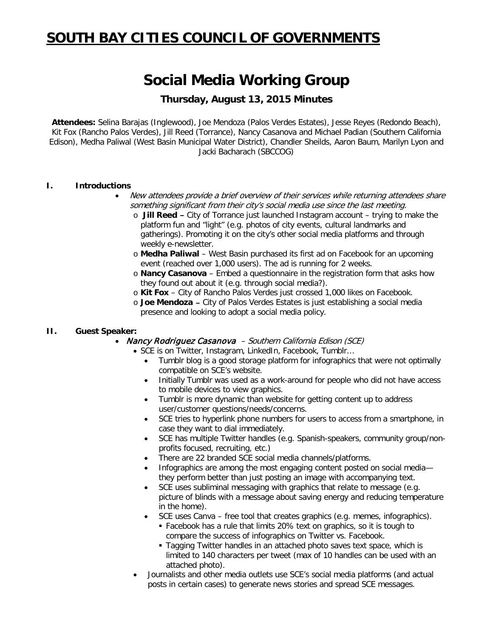# **SOUTH BAY CITIES COUNCIL OF GOVERNMENTS**

# **Social Media Working Group**

# **Thursday, August 13, 2015 Minutes**

**Attendees:** Selina Barajas (Inglewood), Joe Mendoza (Palos Verdes Estates), Jesse Reyes (Redondo Beach), Kit Fox (Rancho Palos Verdes), Jill Reed (Torrance), Nancy Casanova and Michael Padian (Southern California Edison), Medha Paliwal (West Basin Municipal Water District), Chandler Sheilds, Aaron Baum, Marilyn Lyon and Jacki Bacharach (SBCCOG)

#### **I. Introductions**

- New attendees provide a brief overview of their services while returning attendees share something significant from their city's social media use since the last meeting.
	- o **Jill Reed** City of Torrance just launched Instagram account trying to make the platform fun and "light" (e.g. photos of city events, cultural landmarks and gatherings). Promoting it on the city's other social media platforms and through weekly e-newsletter.
	- o **Medha Paliwal** West Basin purchased its first ad on Facebook for an upcoming event (reached over 1,000 users). The ad is running for 2 weeks.
	- o **Nancy Casanova** Embed a questionnaire in the registration form that asks how they found out about it (e.g. through social media?).
	- o **Kit Fox** City of Rancho Palos Verdes just crossed 1,000 likes on Facebook.
	- o **Joe Mendoza**  City of Palos Verdes Estates is just establishing a social media presence and looking to adopt a social media policy.

#### **II. Guest Speaker:**

#### • Nancy Rodriguez Casanova - Southern California Edison (SCE)

- SCE is on Twitter, Instagram, LinkedIn, Facebook, Tumblr…
	- Tumblr blog is a good storage platform for infographics that were not optimally compatible on SCE's website.
	- Initially Tumblr was used as a work-around for people who did not have access to mobile devices to view graphics.
	- Tumblr is more dynamic than website for getting content up to address user/customer questions/needs/concerns.
	- SCE tries to hyperlink phone numbers for users to access from a smartphone, in case they want to dial immediately.
	- SCE has multiple Twitter handles (e.g. Spanish-speakers, community group/nonprofits focused, recruiting, etc.)
	- There are 22 branded SCE social media channels/platforms.
	- Infographics are among the most engaging content posted on social media they perform better than just posting an image with accompanying text.
	- SCE uses subliminal messaging with graphics that relate to message (e.g. picture of blinds with a message about saving energy and reducing temperature in the home).
	- SCE uses Canva free tool that creates graphics (e.g. memes, infographics).
		- Facebook has a rule that limits 20% text on graphics, so it is tough to compare the success of infographics on Twitter vs. Facebook.
		- **Tagging Twitter handles in an attached photo saves text space, which is** limited to 140 characters per tweet (max of 10 handles can be used with an attached photo).
- Journalists and other media outlets use SCE's social media platforms (and actual posts in certain cases) to generate news stories and spread SCE messages.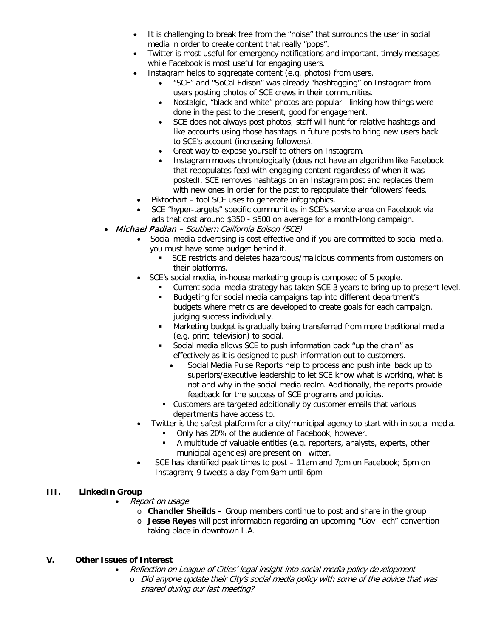- It is challenging to break free from the "noise" that surrounds the user in social media in order to create content that really "pops".
- Twitter is most useful for emergency notifications and important, timely messages while Facebook is most useful for engaging users.
- Instagram helps to aggregate content (e.g. photos) from users.
	- "SCE" and "SoCal Edison" was already "hashtagging" on Instagram from users posting photos of SCE crews in their communities.
	- Nostalgic, "black and white" photos are popular—linking how things were done in the past to the present, good for engagement.
	- SCE does not always post photos; staff will hunt for relative hashtags and like accounts using those hashtags in future posts to bring new users back to SCE's account (increasing followers).
	- Great way to expose yourself to others on Instagram.
	- Instagram moves chronologically (does not have an algorithm like Facebook that repopulates feed with engaging content regardless of when it was posted). SCE removes hashtags on an Instagram post and replaces them with new ones in order for the post to repopulate their followers' feeds.
- Piktochart tool SCE uses to generate infographics.
- SCE "hyper-targets" specific communities in SCE's service area on Facebook via ads that cost around \$350 - \$500 on average for a month-long campaign.
- Michael Padian Southern California Edison (SCE)
	- Social media advertising is cost effective and if you are committed to social media, you must have some budget behind it.
		- SCE restricts and deletes hazardous/malicious comments from customers on their platforms.
		- SCE's social media, in-house marketing group is composed of 5 people.
			- Current social media strategy has taken SCE 3 years to bring up to present level.
			- Budgeting for social media campaigns tap into different department's budgets where metrics are developed to create goals for each campaign, judging success individually.
			- Marketing budget is gradually being transferred from more traditional media (e.g. print, television) to social.
			- Social media allows SCE to push information back "up the chain" as effectively as it is designed to push information out to customers.
				- Social Media Pulse Reports help to process and push intel back up to superiors/executive leadership to let SCE know what is working, what is not and why in the social media realm. Additionally, the reports provide feedback for the success of SCE programs and policies.
			- Customers are targeted additionally by customer emails that various departments have access to.
	- Twitter is the safest platform for a city/municipal agency to start with in social media.
		- Only has 20% of the audience of Facebook, however.
		- A multitude of valuable entities (e.g. reporters, analysts, experts, other municipal agencies) are present on Twitter.
	- SCE has identified peak times to post 11am and 7pm on Facebook; 5pm on Instagram; 9 tweets a day from 9am until 6pm.

## **III. LinkedIn Group**

- Report on usage
	- o **Chandler Sheilds –** Group members continue to post and share in the group
	- o **Jesse Reyes** will post information regarding an upcoming "Gov Tech" convention taking place in downtown L.A.

## **V. Other Issues of Interest**

- Reflection on League of Cities' legal insight into social media policy development
	- o Did anyone update their City's social media policy with some of the advice that was shared during our last meeting?